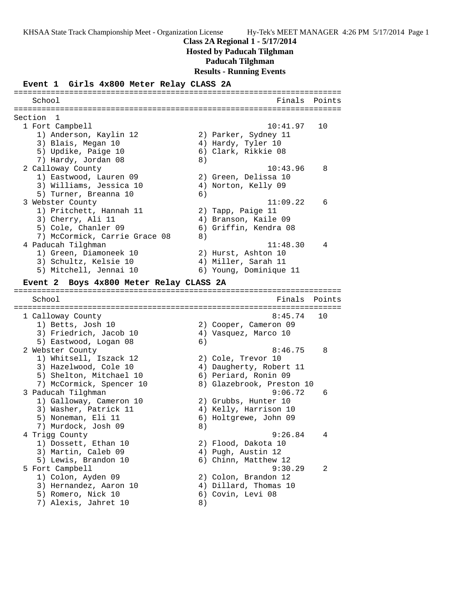## **Class 2A Regional 1 - 5/17/2014**

**Hosted by Paducah Tilghman**

**Paducah Tilghman**

**Results - Running Events**

#### **Event 1 Girls 4x800 Meter Relay CLASS 2A**

======================================================================= School **Finals** Points ======================================================================= Section 1<br>1 Fort Campbell 1 Fort Campbell 10:41.97 10 1) Anderson, Kaylin 12 2) Parker, Sydney 11 3) Blais, Megan 10  $\hskip1cm$  4) Hardy, Tyler 10 5) Updike, Paige 10 (6) Clark, Rikkie 08 7) Hardy, Jordan 08 8) 2 Calloway County 10:43.96 8 1) Eastwood, Lauren 09 2) Green, Delissa 10 3) Williams, Jessica 10 4) Norton, Kelly 09 5) Turner, Breanna 10 (6) 3 Webster County 11:09.22 6 1) Pritchett, Hannah 11  $\qquad \qquad$  2) Tapp, Paige 11 3) Cherry, Ali 11 (4) Branson, Kaile 09 5) Cole, Chanler 09 6) Griffin, Kendra 08 7) McCormick, Carrie Grace 08 8) 4 Paducah Tilghman 11:48.30 4 1) Green, Diamoneek 10 2) Hurst, Ashton 10 3) Schultz, Kelsie 10 4) Miller, Sarah 11 5) Mitchell, Jennai 10 6) Young, Dominique 11 **Event 2 Boys 4x800 Meter Relay CLASS 2A** ======================================================================= School Finals Points ======================================================================= 1 Calloway County 8:45.74 10 1) Betts, Josh 10 2) Cooper, Cameron 09 3) Friedrich, Jacob 10 (4) Vasquez, Marco 10 5) Eastwood, Logan 08 6) 2 Webster County **8:46.75** 8 1) Whitsell, Iszack 12 2) Cole, Trevor 10 3) Hazelwood, Cole 10 4) Daugherty, Robert 11 5) Shelton, Mitchael 10 6) Periard, Ronin 09 7) McCormick, Spencer 10 8) Glazebrook, Preston 10 3 Paducah Tilghman 9:06.72 6 1) Galloway, Cameron 10 2) Grubbs, Hunter 10 3) Washer, Patrick 11  $\hskip10mm$  4) Kelly, Harrison 10 5) Noneman, Eli 11 6) Holtgrewe, John 09 7) Murdock, Josh 09 8) 4 Trigg County 9:26.84 4 1) Dossett, Ethan 10 2) Flood, Dakota 10 3) Martin, Caleb 09 (4) Pugh, Austin 12 5) Lewis, Brandon 10 (6) Chinn, Matthew 12 5 Fort Campbell 9:30.29 2 1) Colon, Ayden 09 2) Colon, Brandon 12 3) Hernandez, Aaron 10 4) Dillard, Thomas 10 5) Romero, Nick 10 (6) Covin, Levi 08 7) Alexis, Jahret 10 (8)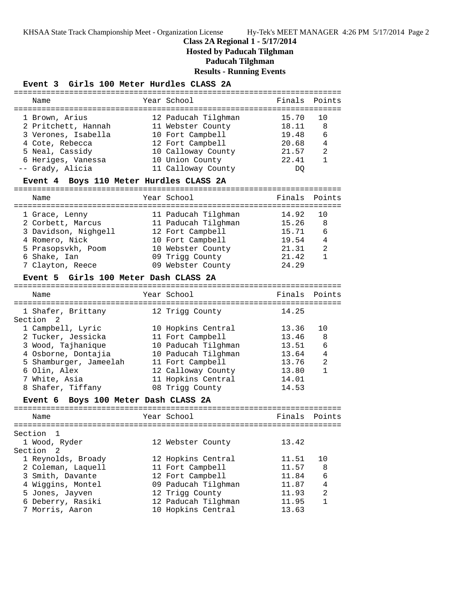# **Class 2A Regional 1 - 5/17/2014**

**Hosted by Paducah Tilghman**

**Paducah Tilghman**

**Results - Running Events**

## **Event 3 Girls 100 Meter Hurdles CLASS 2A**

|                                                | ============================== |        |                |
|------------------------------------------------|--------------------------------|--------|----------------|
| Name                                           | Year School                    | Finals | Points         |
|                                                |                                |        |                |
| 1 Brown, Arius                                 | 12 Paducah Tilghman            | 15.70  | 10             |
| 2 Pritchett, Hannah                            | 11 Webster County              | 18.11  | 8              |
| 3 Verones, Isabella                            | 10 Fort Campbell               | 19.48  | 6              |
| 4 Cote, Rebecca                                | 12 Fort Campbell               | 20.68  | 4              |
| 5 Neal, Cassidy                                | 10 Calloway County             | 21.57  | 2              |
| 6 Heriges, Vanessa                             | 10 Union County                | 22.41  | $\mathbf{1}$   |
| -- Grady, Alicia                               | 11 Calloway County             | DQ.    |                |
| Event 4 Boys 110 Meter Hurdles CLASS 2A        |                                |        |                |
|                                                |                                |        |                |
| Name                                           | Year School                    | Finals | Points         |
|                                                |                                |        |                |
| 1 Grace, Lenny                                 | 11 Paducah Tilghman            | 14.92  | 10             |
| 2 Corbett, Marcus                              | 11 Paducah Tilghman            | 15.26  | 8              |
| 3 Davidson, Nighgell                           | 12 Fort Campbell               | 15.71  | 6              |
| 4 Romero, Nick                                 | 10 Fort Campbell               | 19.54  | 4              |
| 5 Prasopsvkh, Poom                             | 10 Webster County              | 21.31  | 2              |
| 6 Shake, Ian                                   | 09 Trigg County                | 21.42  | 1              |
| 7 Clayton, Reece                               | 09 Webster County              | 24.29  |                |
| Event 5 Girls 100 Meter Dash CLASS 2A          |                                |        |                |
|                                                | Year School                    | Finals | Points         |
| Name                                           | ============================== |        |                |
|                                                |                                | 14.25  |                |
| 1 Shafer, Brittany<br>Section 2                | 12 Trigg County                |        |                |
| 1 Campbell, Lyric                              | 10 Hopkins Central             | 13.36  | 10             |
| 2 Tucker, Jessicka                             | 11 Fort Campbell               | 13.46  | 8              |
| 3 Wood, Tajhanique                             | 10 Paducah Tilghman            | 13.51  | 6              |
| 4 Osborne, Dontajia                            | 10 Paducah Tilghman            | 13.64  | 4              |
|                                                |                                | 13.76  | $\overline{a}$ |
| 5 Shamburger, Jameelah                         | 11 Fort Campbell               |        | $\mathbf{1}$   |
| 6 Olin, Alex                                   | 12 Calloway County             | 13.80  |                |
| 7 White, Asia                                  | 11 Hopkins Central             | 14.01  |                |
| 8 Shafer, Tiffany                              | 08 Trigg County                | 14.53  |                |
| Boys 100 Meter Dash CLASS 2A<br><b>Event 6</b> |                                |        |                |
| Name                                           | Year School                    | Finals | Points         |
|                                                |                                |        |                |
| Section 1                                      |                                |        |                |
| 1 Wood, Ryder                                  | 12 Webster County              | 13.42  |                |
| Section<br>2                                   |                                |        |                |
| 1 Reynolds, Broady                             | 12 Hopkins Central             | 11.51  | 10             |
| 2 Coleman, Laquell                             | 11 Fort Campbell               | 11.57  | 8              |
| 3 Smith, Davante                               | 12 Fort Campbell               | 11.84  | 6              |
| 4 Wiggins, Montel                              | 09 Paducah Tilghman            | 11.87  | 4              |
| 5 Jones, Jayven                                | 12 Trigg County                | 11.93  | 2              |
| 6 Deberry, Rasiki                              | 12 Paducah Tilghman            | 11.95  | $\mathbf 1$    |
| 7 Morris, Aaron                                | 10 Hopkins Central             | 13.63  |                |
|                                                |                                |        |                |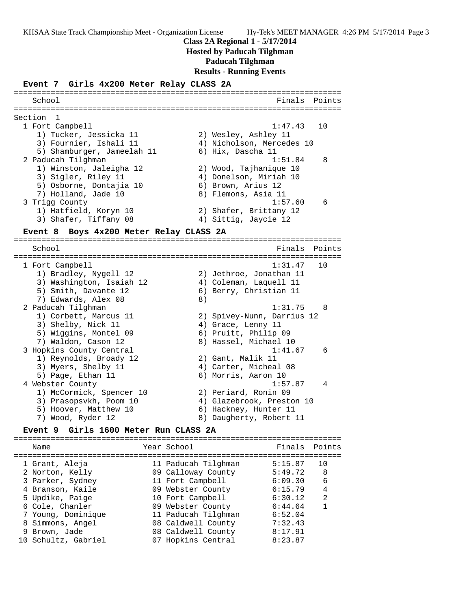### **Class 2A Regional 1 - 5/17/2014**

**Hosted by Paducah Tilghman**

#### **Paducah Tilghman**

**Results - Running Events**

#### **Event 7 Girls 4x200 Meter Relay CLASS 2A**

======================================================================= School **Finals** Points ======================================================================= Section 1 1 Fort Campbell 1:47.43 10 1) Tucker, Jessicka 11 2) Wesley, Ashley 11 3) Fournier, Ishali 11 4) Nicholson, Mercedes 10 5) Shamburger, Jameelah 11  $\qquad\qquad$  6) Hix, Dascha 11 2 Paducah Tilghman 1:51.84 8 1) Winston, Jaleigha 12 2) Wood, Tajhanique 10 3) Sigler, Riley 11 4) Donelson, Miriah 10 5) Osborne, Dontajia 10  $\qquad \qquad$  6) Brown, Arius 12 7) Holland, Jade 10 8) Flemons, Asia 11 3 Trigg County 1:57.60 6 1) Hatfield, Koryn 10 2) Shafer, Brittany 12 3) Shafer, Tiffany 08  $\hskip1cm$  4) Sittig, Jaycie 12 **Event 8 Boys 4x200 Meter Relay CLASS 2A** ======================================================================= School **Finals** Points ======================================================================= 1 Fort Campbell 1:31.47 10 1) Bradley, Nygell 12 2) Jethroe, Jonathan 11 3) Washington, Isaiah 12 4) Coleman, Laquell 11 5) Smith, Davante 12 (6) Berry, Christian 11 7) Edwards, Alex 08 8) 2 Paducah Tilghman 1:31.75 8 1) Corbett, Marcus 11 2) Spivey-Nunn, Darrius 12

### 5) Wiggins, Montel 09 (6) Pruitt, Philip 09 7) Waldon, Cason 12 8) Hassel, Michael 10 3 Hopkins County Central 1:41.67 6 1) Reynolds, Broady 12 2) Gant, Malik 11 3) Myers, Shelby 11  $\hskip1cm$  4) Carter, Micheal 08 5) Page, Ethan 11 6) Morris, Aaron 10 4 Webster County 1:57.87 4 1) McCormick, Spencer 10 2) Periard, Ronin 09 3) Prasopsvkh, Poom 10 4) Glazebrook, Preston 10 5) Hoover, Matthew 10 6) Hackney, Hunter 11

3) Shelby, Nick 11 4) Grace, Lenny 11

# 7) Wood, Ryder 12 8) Daugherty, Robert 11

## **Event 9 Girls 1600 Meter Run CLASS 2A**

| Name                                | Year School                            | Finals Points      |        |
|-------------------------------------|----------------------------------------|--------------------|--------|
| 1 Grant, Aleja                      | 11 Paducah Tilghman                    | 5:15.87            | 10     |
| 2 Norton, Kelly<br>3 Parker, Sydney | 09 Calloway County<br>11 Fort Campbell | 5:49.72<br>6:09.30 | 8<br>6 |
| 4 Branson, Kaile                    | 09 Webster County                      | 6:15.79            | 4      |
| 5 Updike, Paige                     | 10 Fort Campbell                       | 6:30.12            | 2      |
| 6 Cole, Chanler                     | 09 Webster County                      | 6:44.64            | 1      |
| 7 Young, Dominique                  | 11 Paducah Tilghman                    | 6:52.04            |        |
| 8 Simmons, Angel                    | 08 Caldwell County                     | 7:32.43            |        |
| 9 Brown, Jade                       | 08 Caldwell County                     | 8:17.91            |        |
| 10 Schultz, Gabriel                 | 07 Hopkins Central                     | 8:23.87            |        |
|                                     |                                        |                    |        |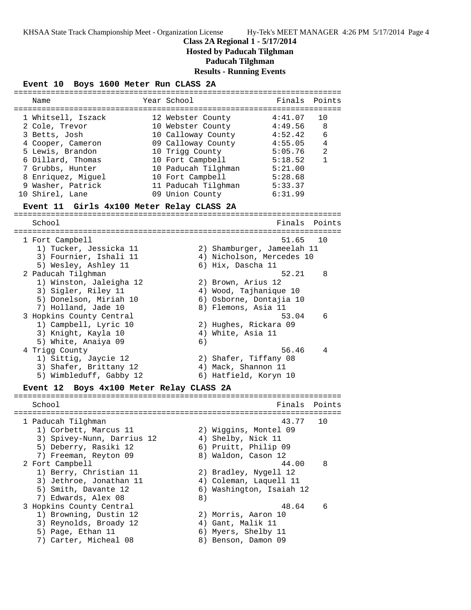## **Class 2A Regional 1 - 5/17/2014**

**Hosted by Paducah Tilghman**

**Paducah Tilghman**

**Results - Running Events**

#### **Event 10 Boys 1600 Meter Run CLASS 2A**

| Name                                                                                                                                    | Year School                                                                                                                                      | Finals Points                                                             |                                                        |
|-----------------------------------------------------------------------------------------------------------------------------------------|--------------------------------------------------------------------------------------------------------------------------------------------------|---------------------------------------------------------------------------|--------------------------------------------------------|
| 1 Whitsell, Iszack<br>2 Cole, Trevor<br>3 Betts, Josh<br>4 Cooper, Cameron<br>5 Lewis, Brandon<br>6 Dillard, Thomas<br>7 Grubbs, Hunter | 12 Webster County<br>10 Webster County<br>10 Calloway County<br>09 Calloway County<br>10 Trigg County<br>10 Fort Campbell<br>10 Paducah Tilghman | 4:41.07<br>4:49.56<br>4:52.42<br>4:55.05<br>5:05.76<br>5:18.52<br>5:21.00 | 1 N<br>8<br>6<br>$\overline{4}$<br>$\mathfrak{D}$<br>1 |
| 8 Enriquez, Miquel<br>9 Washer, Patrick<br>10 Shirel, Lane                                                                              | 10 Fort Campbell<br>11 Paducah Tilghman<br>09 Union County                                                                                       | 5:28.68<br>5:33.37<br>6:31.99                                             |                                                        |
|                                                                                                                                         |                                                                                                                                                  |                                                                           |                                                        |

#### **Event 11 Girls 4x100 Meter Relay CLASS 2A**

======================================================================= School **Finals Points** ======================================================================= 1 Fort Campbell 51.65 10 1) Tucker, Jessicka 11 2) Shamburger, Jameelah 11 3) Fournier, Ishali 11 4) Nicholson, Mercedes 10 5) Wesley, Ashley 11 (6) Hix, Dascha 11 2 Paducah Tilghman 52.21 8 1) Winston, Jaleigha 12 2) Brown, Arius 12 3) Sigler, Riley 11 4) Wood, Tajhanique 10 5) Donelson, Miriah 10 6) Osborne, Dontajia 10 7) Holland, Jade 10 8) Flemons, Asia 11 3 Hopkins County Central 53.04 6 1) Campbell, Lyric 10 2) Hughes, Rickara 09 3) Knight, Kayla 10  $\hskip1cm 4$ ) White, Asia 11 5) White, Anaiya 09 (6) 4 Trigg County 56.46 4 1) Sittig, Jaycie 12 2) Shafer, Tiffany 08 3) Shafer, Brittany 12 (4) Mack, Shannon 11 5) Wimbleduff, Gabby 12 6) Hatfield, Koryn 10 **Event 12 Boys 4x100 Meter Relay CLASS 2A** ======================================================================= School **Finals Points** Points Points Points Points Points Points Points Points Points Points Points Points Points Points Points Points Points Points Points Points Points Points Points Points Points Points Points Points Poi =======================================================================  $43.77$  10 1) Corbett, Marcus 11 2) Wiggins, Montel 09

| l Paducan Tilqnman         | 43.11                    | ΞU  |
|----------------------------|--------------------------|-----|
| 1) Corbett, Marcus 11      | 2) Wiggins, Montel 09    |     |
| 3) Spivey-Nunn, Darrius 12 | 4) Shelby, Nick 11       |     |
| 5) Deberry, Rasiki 12      | 6) Pruitt, Philip 09     |     |
| 7) Freeman, Reyton 09      | 8) Waldon, Cason 12      |     |
| 2 Fort Campbell            | 44.00                    | - 8 |
| 1) Berry, Christian 11     | 2) Bradley, Nygell 12    |     |
| 3) Jethroe, Jonathan 11    | 4) Coleman, Laquell 11   |     |
| 5) Smith, Davante 12       | 6) Washington, Isaiah 12 |     |
| 7) Edwards, Alex 08        | 8)                       |     |
| 3 Hopkins County Central   | 48.64                    | -6  |
| 1) Browning, Dustin 12     | 2) Morris, Aaron 10      |     |
| 3) Reynolds, Broady 12     | 4) Gant, Malik 11        |     |
| 5) Page, Ethan 11          | 6) Myers, Shelby 11      |     |
| 7) Carter, Micheal 08      | 8) Benson, Damon 09      |     |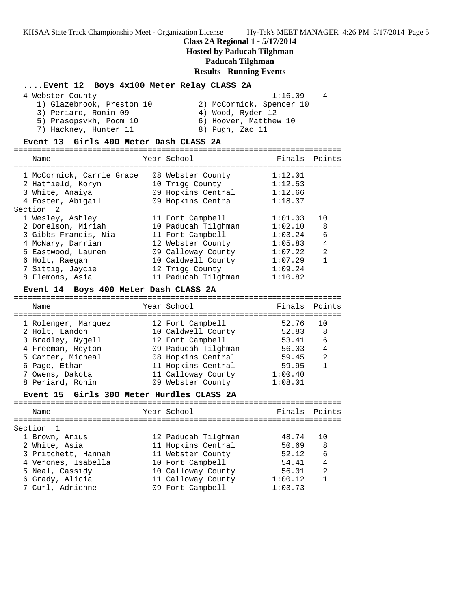## **Class 2A Regional 1 - 5/17/2014**

## **Hosted by Paducah Tilghman**

# **Paducah Tilghman**

# **Results - Running Events**

## **....Event 12 Boys 4x100 Meter Relay CLASS 2A**

| 4 Webster County          | 1:16.09                  | $\overline{4}$ |
|---------------------------|--------------------------|----------------|
| 1) Glazebrook, Preston 10 | 2) McCormick, Spencer 10 |                |
| 3) Periard, Ronin 09      | 4) Wood, Ryder 12        |                |
| 5) Prasopsykh, Poom 10    | 6) Hoover, Matthew 10    |                |
| 7) Hackney, Hunter 11     | 8) Pugh, Zac 11          |                |

### **Event 13 Girls 400 Meter Dash CLASS 2A**

| Name                      |  | Year School         | Finals  | Points         |  |
|---------------------------|--|---------------------|---------|----------------|--|
|                           |  |                     |         |                |  |
| 1 McCormick, Carrie Grace |  | 08 Webster County   | 1:12.01 |                |  |
| 2 Hatfield, Koryn         |  | 10 Trigg County     | 1:12.53 |                |  |
| 3 White, Anaiya           |  | 09 Hopkins Central  | 1:12.66 |                |  |
| 4 Foster, Abigail         |  | 09 Hopkins Central  | 1:18.37 |                |  |
| Section <sub>2</sub>      |  |                     |         |                |  |
| 1 Wesley, Ashley          |  | 11 Fort Campbell    | 1:01.03 | 10             |  |
| 2 Donelson, Miriah        |  | 10 Paducah Tilghman | 1:02.10 | 8              |  |
| 3 Gibbs-Francis, Nia      |  | 11 Fort Campbell    | 1:03.24 | 6              |  |
| 4 McNary, Darrian         |  | 12 Webster County   | 1:05.83 | 4              |  |
| 5 Eastwood, Lauren        |  | 09 Calloway County  | 1:07.22 | $\mathfrak{D}$ |  |
| 6 Holt, Raegan            |  | 10 Caldwell County  | 1:07.29 |                |  |
| 7 Sittig, Jaycie          |  | 12 Trigg County     | 1:09.24 |                |  |
| 8 Flemons, Asia           |  | 11 Paducah Tilghman | 1:10.82 |                |  |
|                           |  |                     |         |                |  |

#### **Event 14 Boys 400 Meter Dash CLASS 2A**

| Name                | Year School         | Finals Points |                |
|---------------------|---------------------|---------------|----------------|
| 1 Rolenger, Marquez | 12 Fort Campbell    | 52.76         | ີ 1 ດ          |
| 2 Holt, Landon      | 10 Caldwell County  | 52.83         | -8             |
| 3 Bradley, Nygell   | 12 Fort Campbell    | 53.41         | 6              |
| 4 Freeman, Reyton   | 09 Paducah Tilghman | 56.03         | $\overline{4}$ |
| 5 Carter, Micheal   | 08 Hopkins Central  | 59.45         | 2              |
| 6 Page, Ethan       | 11 Hopkins Central  | 59.95         |                |
| 7 Owens, Dakota     | 11 Calloway County  | 1:00.40       |                |
| 8 Periard, Ronin    | 09 Webster County   | 1:08.01       |                |
|                     |                     |               |                |

## **Event 15 Girls 300 Meter Hurdles CLASS 2A**

| Name                | Year School         | Finals Points |                |
|---------------------|---------------------|---------------|----------------|
| Section 1           |                     |               |                |
| 1 Brown, Arius      | 12 Paducah Tilghman | 48.74         | 1 N            |
| 2 White, Asia       | 11 Hopkins Central  | 50.69         | 8              |
| 3 Pritchett, Hannah | 11 Webster County   | 52.12         | 6              |
| 4 Verones, Isabella | 10 Fort Campbell    | 54 41         | $\overline{4}$ |
| 5 Neal, Cassidy     | 10 Calloway County  | 56.01         | $\mathfrak{D}$ |
| 6 Grady, Alicia     | 11 Calloway County  | 1:00.12       | 1              |
| 7 Curl, Adrienne    | 09 Fort Campbell    | 1:03.73       |                |
|                     |                     |               |                |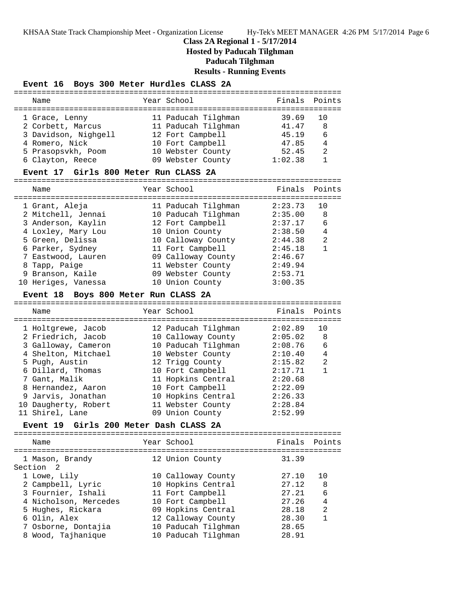# **Class 2A Regional 1 - 5/17/2014**

**Hosted by Paducah Tilghman**

**Paducah Tilghman**

**Results - Running Events**

## **Event 16 Boys 300 Meter Hurdles CLASS 2A**

| Name                                           | Year School         | Finals  | Points         |
|------------------------------------------------|---------------------|---------|----------------|
|                                                |                     |         |                |
| 1 Grace, Lenny                                 | 11 Paducah Tilghman | 39.69   | 10             |
| 2 Corbett, Marcus                              | 11 Paducah Tilghman | 41.47   | 8              |
| 3 Davidson, Nighgell                           | 12 Fort Campbell    | 45.19   | 6              |
| 4 Romero, Nick                                 | 10 Fort Campbell    | 47.85   | 4              |
| 5 Prasopsvkh, Poom                             | 10 Webster County   | 52.45   | 2              |
| 6 Clayton, Reece                               | 09 Webster County   | 1:02.38 | $\mathbf{1}$   |
| Event 17 Girls 800 Meter Run CLASS 2A          |                     |         |                |
| Name                                           | Year School         | Finals  | Points         |
| 1 Grant, Aleja                                 | 11 Paducah Tilghman | 2:23.73 | 10             |
| 2 Mitchell, Jennai                             | 10 Paducah Tilghman | 2:35.00 | 8              |
| 3 Anderson, Kaylin                             | 12 Fort Campbell    | 2:37.17 | 6              |
| 4 Loxley, Mary Lou                             | 10 Union County     | 2:38.50 | 4              |
| 5 Green, Delissa                               | 10 Calloway County  | 2:44.38 | 2              |
| 6 Parker, Sydney                               | 11 Fort Campbell    | 2:45.18 | $\mathbf{1}$   |
| 7 Eastwood, Lauren                             | 09 Calloway County  | 2:46.67 |                |
| 8 Tapp, Paige                                  | 11 Webster County   | 2:49.94 |                |
| 9 Branson, Kaile                               | 09 Webster County   | 2:53.71 |                |
| 10 Heriges, Vanessa                            | 10 Union County     | 3:00.35 |                |
|                                                |                     |         |                |
| Boys 800 Meter Run CLASS 2A<br><b>Event 18</b> |                     |         |                |
| Name                                           | Year School         | Finals  | Points         |
| 1 Holtgrewe, Jacob                             | 12 Paducah Tilghman | 2:02.89 | 10             |
| 2 Friedrich, Jacob                             | 10 Calloway County  | 2:05.02 | 8              |
| 3 Galloway, Cameron                            | 10 Paducah Tilghman | 2:08.76 | 6              |
| 4 Shelton, Mitchael                            | 10 Webster County   | 2:10.40 | 4              |
| 5 Pugh, Austin                                 | 12 Trigg County     | 2:15.82 | $\overline{a}$ |
| 6 Dillard, Thomas                              | 10 Fort Campbell    | 2:17.71 | $\mathbf{1}$   |
| 7 Gant, Malik                                  | 11 Hopkins Central  | 2:20.68 |                |
| 8 Hernandez, Aaron                             | 10 Fort Campbell    | 2:22.09 |                |
| 9 Jarvis, Jonathan                             | 10 Hopkins Central  | 2:26.33 |                |
| 10 Daugherty, Robert                           | 11 Webster County   | 2:28.84 |                |
| 11 Shirel, Lane                                | 09 Union County     | 2:52.99 |                |
| Event 19 Girls 200 Meter Dash CLASS 2A         |                     |         |                |
|                                                |                     |         |                |
| Name                                           | Year School         | Finals  | Points         |
|                                                |                     |         |                |
| 1 Mason, Brandy<br>Section<br>2                | 12 Union County     | 31.39   |                |
| 1 Lowe, Lily                                   | 10 Calloway County  | 27.10   | 10             |
| 2 Campbell, Lyric                              | 10 Hopkins Central  | 27.12   | 8              |
| 3 Fournier, Ishali                             | 11 Fort Campbell    | 27.21   | 6              |
| 4 Nicholson, Mercedes                          | 10 Fort Campbell    | 27.26   | 4              |
| 5 Hughes, Rickara                              | 09 Hopkins Central  | 28.18   | $\overline{2}$ |
| 6 Olin, Alex                                   | 12 Calloway County  | 28.30   | $\mathbf{1}$   |
| 7 Osborne, Dontajia                            | 10 Paducah Tilghman | 28.65   |                |
| 8 Wood, Tajhanique                             | 10 Paducah Tilghman | 28.91   |                |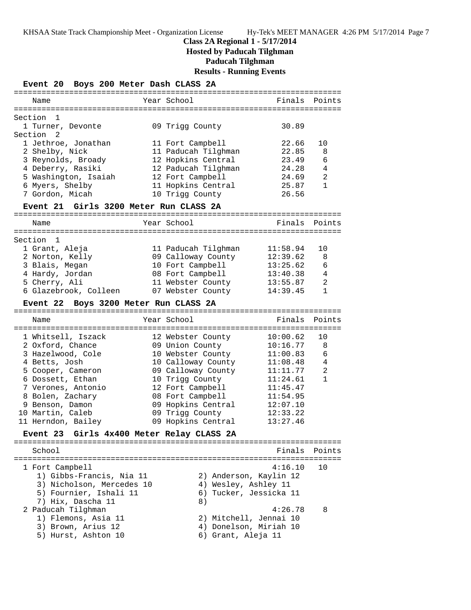# **Class 2A Regional 1 - 5/17/2014 Hosted by Paducah Tilghman Paducah Tilghman Results - Running Events**

**Event 20 Boys 200 Meter Dash CLASS 2A** ======================================================================= Name The Year School The Finals Points ======================================================================= Section 1 1 Turner, Devonte 09 Trigg County 30.89 Section 2 1 Jethroe, Jonathan 11 Fort Campbell 22.66 10 2 Shelby, Nick 11 Paducah Tilghman 22.85 8 3 Reynolds, Broady 12 Hopkins Central 23.49 6 4 Deberry, Rasiki 12 Paducah Tilghman 24.28 4 5 Washington, Isaiah 12 Fort Campbell 24.69 2 6 Myers, Shelby 11 Hopkins Central 25.87 1 7 Gordon, Micah 10 Trigg County 26.56 **Event 21 Girls 3200 Meter Run CLASS 2A** ======================================================================= Name Tear School Tear School Finals Points ======================================================================= Section 1 1 Grant, Aleja 11 Paducah Tilghman 11:58.94 10 2 Norton, Kelly 09 Calloway County 12:39.62 8 3 Blais, Megan 10 Fort Campbell 13:25.62 6 4 Hardy, Jordan 08 Fort Campbell 13:40.38 4 5 Cherry, Ali 11 Webster County 13:55.87 2 6 Glazebrook, Colleen 07 Webster County 14:39.45 1 **Event 22 Boys 3200 Meter Run CLASS 2A** ======================================================================= Name **Name** Year School **Finals Points** ======================================================================= 1 Whitsell, Iszack 12 Webster County 10:00.62 10 2 Oxford, Chance 09 Union County 10:16.77 8 3 Hazelwood, Cole 10 Webster County 11:00.83 6 4 Betts, Josh 10 Calloway County 11:08.48 4 5 Cooper, Cameron 09 Calloway County 11:11.77 2 6 Dossett, Ethan 10 Trigg County 11:24.61 1 7 Verones, Antonio 12 Fort Campbell 11:45.47 8 Bolen, Zachary 08 Fort Campbell 11:54.95 9 Benson, Damon 09 Hopkins Central 12:07.10 10 Martin, Caleb 09 Trigg County 12:33.22 11 Herndon, Bailey 09 Hopkins Central 13:27.46 **Event 23 Girls 4x400 Meter Relay CLASS 2A** ======================================================================= School **Finals Points** ======================================================================= 1 Fort Campbell 4:16.10 10 1) Gibbs-Francis, Nia 11 2) Anderson, Kaylin 12 3) Nicholson, Mercedes 10  $\hskip1cm 4)$  Wesley, Ashley 11 5) Fournier, Ishali 11 6) Tucker, Jessicka 11 7) Hix, Dascha 11 8) 2 Paducah Tilghman 4:26.78 8 1) Flemons, Asia 11 2) Mitchell, Jennai 10 3) Brown, Arius 12 4) Donelson, Miriah 10 5) Hurst, Ashton 10 (6) Grant, Aleja 11